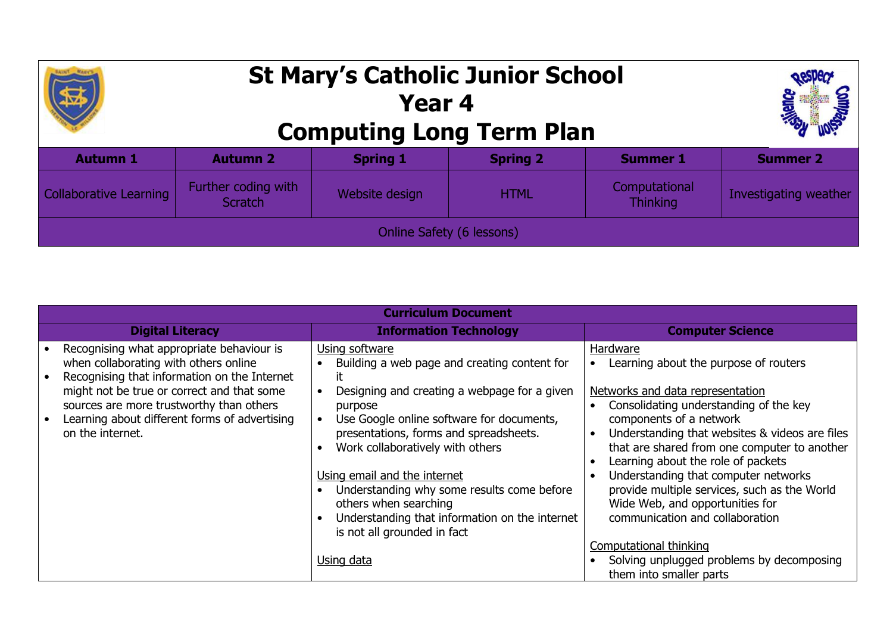## **St Mary's Catholic Junior School Year 4 Computing Long Term Plan Autumn 1 Autumn 2 Spring 1 Spring 2 Summer 1 Summer 2** Collaborative Learning Further coding with r coding with state website design state of HTML and Morror Computational state of the Website design state HTML and Thinking state of the Scratch Scratch state of the Scratch state of the Scratch state of the Scratch stat Computational Investigating weather Online Safety (6 lessons)

| <b>Curriculum Document</b>                                                                                                                                                                                                                                                                        |                                                                                                                                                                                                                                                                                                                                                                                                                                                    |                                                                                                                                                                                                                                                                                                                                                                                                                                                                                                                |  |  |  |  |  |  |
|---------------------------------------------------------------------------------------------------------------------------------------------------------------------------------------------------------------------------------------------------------------------------------------------------|----------------------------------------------------------------------------------------------------------------------------------------------------------------------------------------------------------------------------------------------------------------------------------------------------------------------------------------------------------------------------------------------------------------------------------------------------|----------------------------------------------------------------------------------------------------------------------------------------------------------------------------------------------------------------------------------------------------------------------------------------------------------------------------------------------------------------------------------------------------------------------------------------------------------------------------------------------------------------|--|--|--|--|--|--|
| <b>Digital Literacy</b>                                                                                                                                                                                                                                                                           | <b>Information Technology</b>                                                                                                                                                                                                                                                                                                                                                                                                                      | <b>Computer Science</b>                                                                                                                                                                                                                                                                                                                                                                                                                                                                                        |  |  |  |  |  |  |
| Recognising what appropriate behaviour is<br>when collaborating with others online<br>Recognising that information on the Internet<br>might not be true or correct and that some<br>sources are more trustworthy than others<br>Learning about different forms of advertising<br>on the internet. | Using software<br>Building a web page and creating content for<br>it<br>Designing and creating a webpage for a given<br>purpose<br>Use Google online software for documents,<br>presentations, forms and spreadsheets.<br>Work collaboratively with others<br>Using email and the internet<br>Understanding why some results come before<br>others when searching<br>Understanding that information on the internet<br>is not all grounded in fact | <b>Hardware</b><br>Learning about the purpose of routers<br>Networks and data representation<br>Consolidating understanding of the key<br>components of a network<br>Understanding that websites & videos are files<br>$\bullet$<br>that are shared from one computer to another<br>Learning about the role of packets<br>$\bullet$<br>Understanding that computer networks<br>$\bullet$<br>provide multiple services, such as the World<br>Wide Web, and opportunities for<br>communication and collaboration |  |  |  |  |  |  |
|                                                                                                                                                                                                                                                                                                   | Using data                                                                                                                                                                                                                                                                                                                                                                                                                                         | <b>Computational thinking</b><br>Solving unplugged problems by decomposing<br>them into smaller parts                                                                                                                                                                                                                                                                                                                                                                                                          |  |  |  |  |  |  |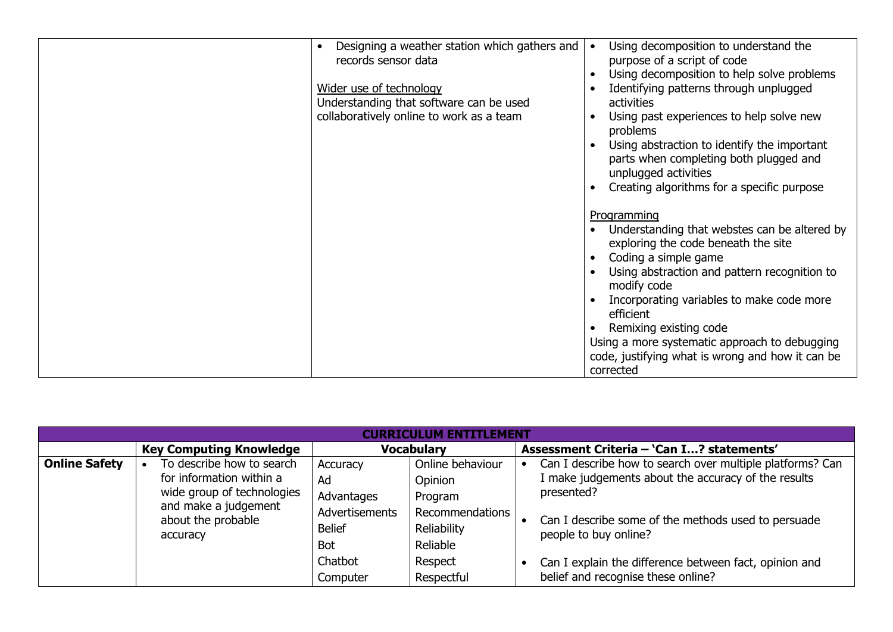| Designing a weather station which gathers and | Using decomposition to understand the                                                 |
|-----------------------------------------------|---------------------------------------------------------------------------------------|
| records sensor data                           | purpose of a script of code                                                           |
|                                               | Using decomposition to help solve problems                                            |
| Wider use of technology                       | Identifying patterns through unplugged                                                |
| Understanding that software can be used       | activities                                                                            |
| collaboratively online to work as a team      | Using past experiences to help solve new<br>problems                                  |
|                                               | Using abstraction to identify the important<br>parts when completing both plugged and |
|                                               | unplugged activities                                                                  |
|                                               | Creating algorithms for a specific purpose                                            |
|                                               |                                                                                       |
|                                               | Programming<br>Understanding that webstes can be altered by                           |
|                                               | exploring the code beneath the site                                                   |
|                                               | Coding a simple game                                                                  |
|                                               | Using abstraction and pattern recognition to                                          |
|                                               | modify code                                                                           |
|                                               | Incorporating variables to make code more                                             |
|                                               | efficient<br>Remixing existing code                                                   |
|                                               | Using a more systematic approach to debugging                                         |
|                                               | code, justifying what is wrong and how it can be                                      |
|                                               | corrected                                                                             |

| <b>RRTCULUM ENTITLEMENT</b> |                                                                                                                                               |                                                                                                             |                                                                                                               |                                           |                                                                                                                                                                                                                                                                                                                |  |  |  |
|-----------------------------|-----------------------------------------------------------------------------------------------------------------------------------------------|-------------------------------------------------------------------------------------------------------------|---------------------------------------------------------------------------------------------------------------|-------------------------------------------|----------------------------------------------------------------------------------------------------------------------------------------------------------------------------------------------------------------------------------------------------------------------------------------------------------------|--|--|--|
|                             | <b>Key Computing Knowledge</b>                                                                                                                |                                                                                                             | <b>Vocabulary</b>                                                                                             | Assessment Criteria - 'Can I? statements' |                                                                                                                                                                                                                                                                                                                |  |  |  |
| <b>Online Safety</b>        | To describe how to search<br>for information within a<br>wide group of technologies<br>and make a judgement<br>about the probable<br>accuracy | Accuracy<br>Ad<br>Advantages<br><b>Advertisements</b><br><b>Belief</b><br><b>Bot</b><br>Chatbot<br>Computer | Online behaviour<br>Opinion<br>Program<br>Recommendations<br>Reliability<br>Reliable<br>Respect<br>Respectful |                                           | Can I describe how to search over multiple platforms? Can<br>I make judgements about the accuracy of the results<br>presented?<br>Can I describe some of the methods used to persuade<br>people to buy online?<br>Can I explain the difference between fact, opinion and<br>belief and recognise these online? |  |  |  |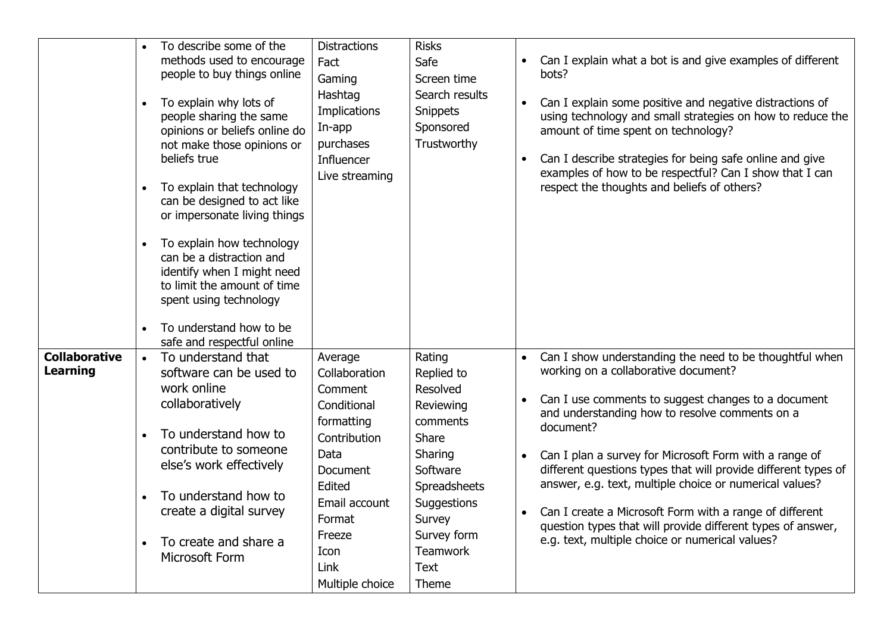|                                         | To describe some of the<br>methods used to encourage<br>people to buy things online<br>To explain why lots of<br>$\bullet$<br>people sharing the same<br>opinions or beliefs online do<br>not make those opinions or<br>beliefs true<br>To explain that technology<br>$\bullet$<br>can be designed to act like<br>or impersonate living things<br>To explain how technology<br>$\bullet$<br>can be a distraction and<br>identify when I might need<br>to limit the amount of time<br>spent using technology<br>To understand how to be<br>$\bullet$<br>safe and respectful online | <b>Distractions</b><br>Fact<br>Gaming<br>Hashtag<br>Implications<br>In-app<br>purchases<br>Influencer<br>Live streaming                                                                | <b>Risks</b><br>Safe<br>Screen time<br>Search results<br><b>Snippets</b><br>Sponsored<br>Trustworthy                                                                                                | $\bullet$              | Can I explain what a bot is and give examples of different<br>bots?<br>Can I explain some positive and negative distractions of<br>using technology and small strategies on how to reduce the<br>amount of time spent on technology?<br>Can I describe strategies for being safe online and give<br>examples of how to be respectful? Can I show that I can<br>respect the thoughts and beliefs of others?                                                                                                                                                                                |
|-----------------------------------------|-----------------------------------------------------------------------------------------------------------------------------------------------------------------------------------------------------------------------------------------------------------------------------------------------------------------------------------------------------------------------------------------------------------------------------------------------------------------------------------------------------------------------------------------------------------------------------------|----------------------------------------------------------------------------------------------------------------------------------------------------------------------------------------|-----------------------------------------------------------------------------------------------------------------------------------------------------------------------------------------------------|------------------------|-------------------------------------------------------------------------------------------------------------------------------------------------------------------------------------------------------------------------------------------------------------------------------------------------------------------------------------------------------------------------------------------------------------------------------------------------------------------------------------------------------------------------------------------------------------------------------------------|
| <b>Collaborative</b><br><b>Learning</b> | To understand that<br>$\bullet$<br>software can be used to<br>work online<br>collaboratively<br>To understand how to<br>$\bullet$<br>contribute to someone<br>else's work effectively<br>To understand how to<br>$\bullet$<br>create a digital survey<br>To create and share a<br>$\bullet$<br>Microsoft Form                                                                                                                                                                                                                                                                     | Average<br>Collaboration<br>Comment<br>Conditional<br>formatting<br>Contribution<br>Data<br>Document<br>Edited<br>Email account<br>Format<br>Freeze<br>Icon<br>Link<br>Multiple choice | Rating<br>Replied to<br>Resolved<br>Reviewing<br>comments<br><b>Share</b><br>Sharing<br>Software<br>Spreadsheets<br>Suggestions<br>Survey<br>Survey form<br><b>Teamwork</b><br><b>Text</b><br>Theme | $\bullet$<br>$\bullet$ | Can I show understanding the need to be thoughtful when<br>working on a collaborative document?<br>Can I use comments to suggest changes to a document<br>and understanding how to resolve comments on a<br>document?<br>Can I plan a survey for Microsoft Form with a range of<br>different questions types that will provide different types of<br>answer, e.g. text, multiple choice or numerical values?<br>Can I create a Microsoft Form with a range of different<br>question types that will provide different types of answer,<br>e.g. text, multiple choice or numerical values? |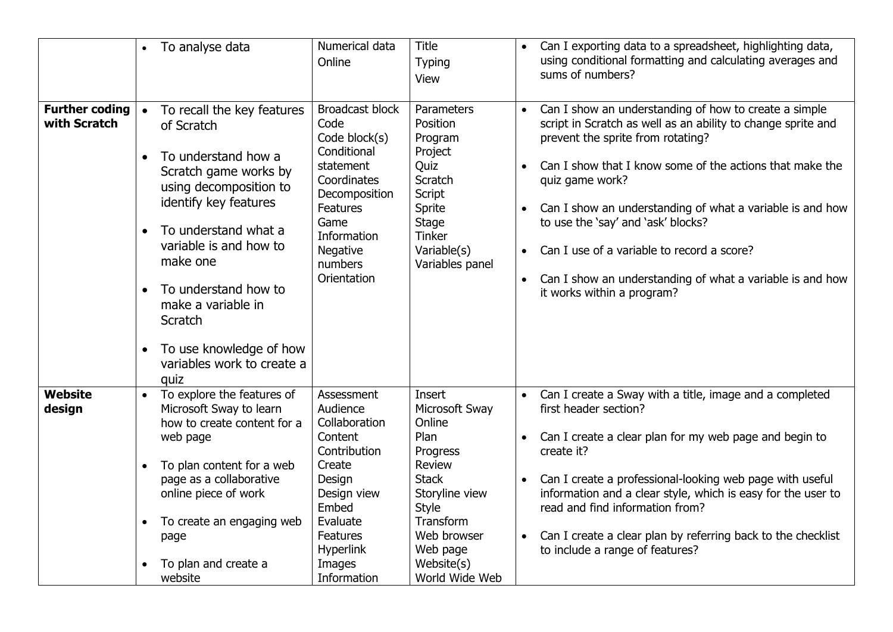|                                       | To analyse data<br>$\bullet$                                                                                                                                                                                                                                                                                                                                               | Numerical data<br>Online                                                                                                                                                                    | <b>Title</b><br><b>Typing</b><br>View                                                                                                                                               | $\bullet$                           | Can I exporting data to a spreadsheet, highlighting data,<br>using conditional formatting and calculating averages and<br>sums of numbers?                                                                                                                                                                                                                                                                                                                                            |
|---------------------------------------|----------------------------------------------------------------------------------------------------------------------------------------------------------------------------------------------------------------------------------------------------------------------------------------------------------------------------------------------------------------------------|---------------------------------------------------------------------------------------------------------------------------------------------------------------------------------------------|-------------------------------------------------------------------------------------------------------------------------------------------------------------------------------------|-------------------------------------|---------------------------------------------------------------------------------------------------------------------------------------------------------------------------------------------------------------------------------------------------------------------------------------------------------------------------------------------------------------------------------------------------------------------------------------------------------------------------------------|
| <b>Further coding</b><br>with Scratch | To recall the key features<br>of Scratch<br>To understand how a<br>Scratch game works by<br>using decomposition to<br>identify key features<br>To understand what a<br>$\bullet$<br>variable is and how to<br>make one<br>To understand how to<br>$\bullet$<br>make a variable in<br>Scratch<br>To use knowledge of how<br>$\bullet$<br>variables work to create a<br>quiz | <b>Broadcast block</b><br>Code<br>Code block(s)<br>Conditional<br>statement<br>Coordinates<br>Decomposition<br><b>Features</b><br>Game<br>Information<br>Negative<br>numbers<br>Orientation | Parameters<br>Position<br>Program<br>Project<br>Quiz<br><b>Scratch</b><br>Script<br>Sprite<br>Stage<br><b>Tinker</b><br>Variable(s)<br>Variables panel                              | $\bullet$<br>$\bullet$<br>$\bullet$ | Can I show an understanding of how to create a simple<br>script in Scratch as well as an ability to change sprite and<br>prevent the sprite from rotating?<br>Can I show that I know some of the actions that make the<br>quiz game work?<br>Can I show an understanding of what a variable is and how<br>to use the 'say' and 'ask' blocks?<br>Can I use of a variable to record a score?<br>Can I show an understanding of what a variable is and how<br>it works within a program? |
| <b>Website</b><br>design              | To explore the features of<br>Microsoft Sway to learn<br>how to create content for a<br>web page<br>To plan content for a web<br>$\bullet$<br>page as a collaborative<br>online piece of work<br>To create an engaging web<br>$\bullet$<br>page<br>To plan and create a<br>website                                                                                         | Assessment<br>Audience<br>Collaboration<br>Content<br>Contribution<br>Create<br>Design<br>Design view<br>Embed<br>Evaluate<br>Features<br><b>Hyperlink</b><br>Images<br>Information         | Insert<br>Microsoft Sway<br>Online<br>Plan<br>Progress<br>Review<br><b>Stack</b><br>Storyline view<br>Style<br>Transform<br>Web browser<br>Web page<br>Website(s)<br>World Wide Web | $\bullet$<br>$\bullet$              | Can I create a Sway with a title, image and a completed<br>first header section?<br>Can I create a clear plan for my web page and begin to<br>create it?<br>Can I create a professional-looking web page with useful<br>information and a clear style, which is easy for the user to<br>read and find information from?<br>Can I create a clear plan by referring back to the checklist<br>to include a range of features?                                                            |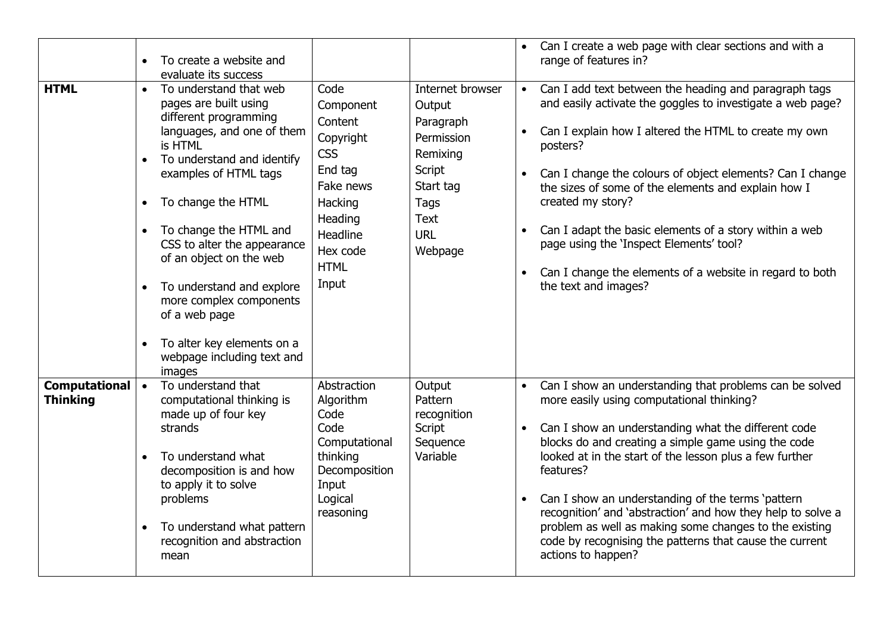| <b>HTML</b>                      | $\bullet$<br>$\bullet$ | To create a website and<br>evaluate its success<br>To understand that web<br>pages are built using<br>different programming<br>languages, and one of them<br>is HTML<br>To understand and identify<br>examples of HTML tags<br>To change the HTML<br>To change the HTML and<br>CSS to alter the appearance<br>of an object on the web<br>To understand and explore<br>more complex components<br>of a web page<br>To alter key elements on a<br>webpage including text and<br>images | Code<br>Component<br>Content<br>Copyright<br><b>CSS</b><br>End tag<br>Fake news<br>Hacking<br>Heading<br>Headline<br>Hex code<br><b>HTML</b><br>Input | Internet browser<br>Output<br>Paragraph<br>Permission<br>Remixing<br>Script<br>Start tag<br>Tags<br><b>Text</b><br><b>URL</b><br>Webpage | $\bullet$<br>$\bullet$<br>$\bullet$ | Can I create a web page with clear sections and with a<br>range of features in?<br>Can I add text between the heading and paragraph tags<br>and easily activate the goggles to investigate a web page?<br>Can I explain how I altered the HTML to create my own<br>posters?<br>Can I change the colours of object elements? Can I change<br>the sizes of some of the elements and explain how I<br>created my story?<br>Can I adapt the basic elements of a story within a web<br>page using the 'Inspect Elements' tool?<br>Can I change the elements of a website in regard to both<br>the text and images? |
|----------------------------------|------------------------|--------------------------------------------------------------------------------------------------------------------------------------------------------------------------------------------------------------------------------------------------------------------------------------------------------------------------------------------------------------------------------------------------------------------------------------------------------------------------------------|-------------------------------------------------------------------------------------------------------------------------------------------------------|------------------------------------------------------------------------------------------------------------------------------------------|-------------------------------------|---------------------------------------------------------------------------------------------------------------------------------------------------------------------------------------------------------------------------------------------------------------------------------------------------------------------------------------------------------------------------------------------------------------------------------------------------------------------------------------------------------------------------------------------------------------------------------------------------------------|
| Computational<br><b>Thinking</b> | $\bullet$<br>$\bullet$ | To understand that<br>computational thinking is<br>made up of four key<br>strands<br>To understand what<br>decomposition is and how<br>to apply it to solve<br>problems<br>To understand what pattern<br>recognition and abstraction<br>mean                                                                                                                                                                                                                                         | Abstraction<br>Algorithm<br>Code<br>Code<br>Computational<br>thinking<br>Decomposition<br>Input<br>Logical<br>reasoning                               | Output<br>Pattern<br>recognition<br>Script<br>Sequence<br>Variable                                                                       | $\bullet$<br>$\bullet$<br>$\bullet$ | Can I show an understanding that problems can be solved<br>more easily using computational thinking?<br>Can I show an understanding what the different code<br>blocks do and creating a simple game using the code<br>looked at in the start of the lesson plus a few further<br>features?<br>Can I show an understanding of the terms 'pattern<br>recognition' and 'abstraction' and how they help to solve a<br>problem as well as making some changes to the existing<br>code by recognising the patterns that cause the current<br>actions to happen?                                                     |